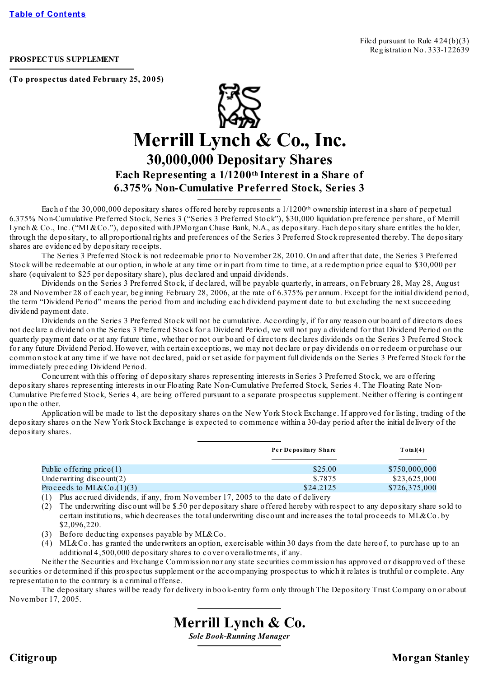## **PROSPECTUS SUPPLEMENT**

**(To prospectus dated February 25, 2005)**



Each of the 30,000,000 depositary shares offered hereby represents a 1/1200<sup>th</sup> ownership interest in a share of perpetual 6.375% Non-Cumulative Preferred Stock, Series 3 ("Series 3 Preferred Stock"), \$30,000 liquidation preference per share, of Merrill Lynch & Co., Inc. ("ML&Co."), deposited with JPMorgan Chase Bank, N.A., as depositary. Each depositary share entitles the holder, through the depositary, to all proportional rights and preferences of the Series 3 Preferred Stock represented thereby. The depositary shares are evidenced by depositary receipts.

The Series 3 Preferred Stock is not redeemable prior to November 28, 2010. On and after that date, the Series 3 Preferred Stock will be redeemable at our option, in whole at any time or in part from time to time, at a redemption price equal to \$30,000 per share (equivalent to \$25 per depositary share), plus declared and unpaid dividends.

Dividends on the Series 3 Preferred Stock, if declared, will be payable quarterly, in arrears, on February 28, May 28, August 28 and November 28 of each year, beginning February 28, 2006, at the rate of 6.375% per annum. Except for the initial dividend period, the term "Dividend Period" means the period from and including each dividend payment date to but excluding the next succeeding dividend payment date.

Dividends on the Series 3 Preferred Stock will not be cumulative. Accordingly, if for any reason our board of directors does not declare a dividend on the Series 3 Preferred Stock for a Dividend Period, we will not pay a dividend for that Dividend Period on the quarterly payment date or at any future time, whether or not our board of directors declares dividends on the Series 3 Preferred Stock for any future Dividend Period. However, with certain exceptions, we may not declare or pay dividends on or redeem or purchase our common stock at any time if we have not declared, paid or set aside for payment full dividends on the Series 3 Preferred Stock for the immediately preceding Dividend Period.

Concurrent with this offering of depositary shares representing interests in Series 3 Preferred Stock, we are offering depositary shares representing interests in our Floating Rate Non-Cumulative Preferred Stock, Series 4. The Floating Rate Non-Cumulative Preferred Stock, Series 4, are being offered pursuant to a separate prospectus supplement. Neither offering is contingent upon the other.

Application will be made to list the depositary shares on the New York Stock Exchange. If approved for listing, trading of the depositary shares on the New York Stock Exchange is expected to commence within a 30-day period after the initial delivery of the depositary shares.

|                             | Per Depositary Share | Total(4)      |
|-----------------------------|----------------------|---------------|
| Public offering $price(1)$  | \$25.00              | \$750,000,000 |
| Underwriting $discount(2)$  | \$.7875              | \$23,625,000  |
| Proceeds to ML&Co. $(1)(3)$ | \$24,2125            | \$726,375,000 |

(1) Plus accrued dividends, if any, from November 17, 2005 to the date of delivery

(2) The underwriting discount will be \$.50 per depositary share offered hereby with respect to any depositary share sold to certain institutions, which decreases the total underwriting discount and increases the total proceeds to ML&Co. by \$2,096,220.

- (3) Before deducting expenses payable by ML&Co.
- (4) ML&Co. has granted the underwriters an option, exercisable within 30 days from the date hereof, to purchase up to an additional 4,500,000 depositary shares to cover overallotments, if any.

Neither the Securities and Exchange Commission nor any state securities commission has approved or disapproved of these securities or determined if this prospectus supplement or the accompanying prospectus to which it relates is truthful or complete. Any representation to the contrary is a criminal offense.

The depositary shares will be ready for delivery in book-entry form only through The Depository Trust Company on or about November 17, 2005.



**Citigroup Morgan Stanley**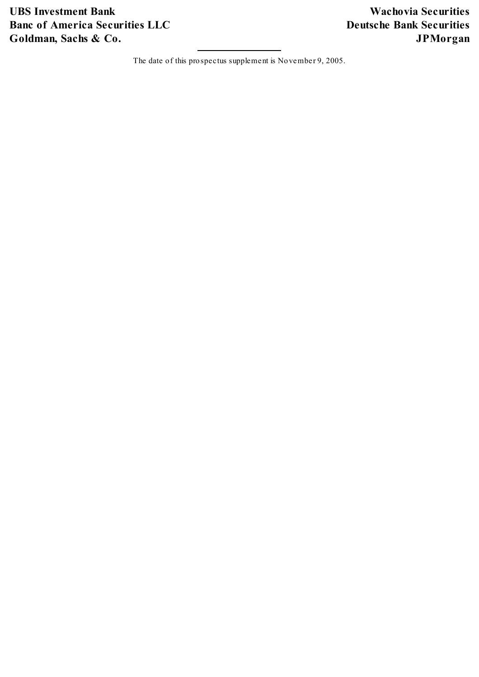**UBS Investment Bank Wachovia Securities Banc of America Securities LLC Deutsche Bank Securities Goldman, Sachs & Co. JPMorgan**

The date of this prospectus supplement is November 9, 2005.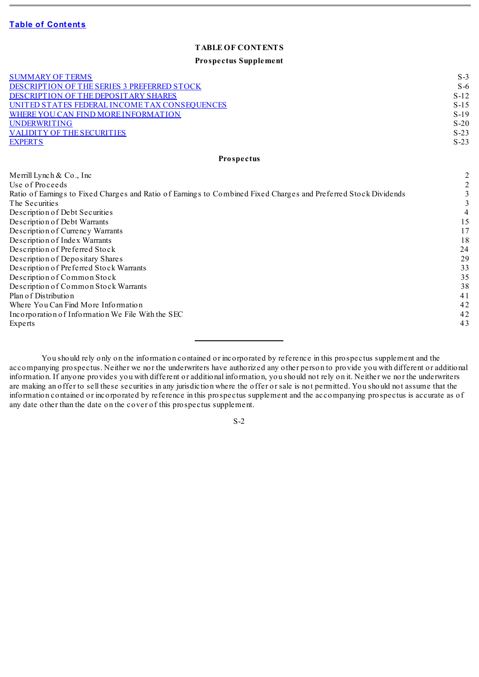### **TABLE OF CONTENTS**

#### **Prospectus Supplement**

<span id="page-2-0"></span>

| <b>SUMMARY OF TERMS</b><br>DESCRIPTION OF THE SERIES 3 PREFERRED STOCK<br>DESCRIPTION OF THE DEPOSITARY SHARES<br>UNITED STATES FEDERAL INCOME TAX CONSEQUENCES<br>WHERE YOU CAN FIND MORE INFORMATION<br><b>UNDERWRITING</b> | $S-3$<br>$S-6$<br>$S-12$<br>$S-15$<br>$S-19$<br>$S-20$ |
|-------------------------------------------------------------------------------------------------------------------------------------------------------------------------------------------------------------------------------|--------------------------------------------------------|
| <b>VALIDITY OF THE SECURITIES</b><br><b>EXPERTS</b>                                                                                                                                                                           | $S-23$<br>$S-23$                                       |
| Prospectus                                                                                                                                                                                                                    |                                                        |
|                                                                                                                                                                                                                               |                                                        |
| Merrill Lynch $& Co., Inc$<br>Use of Proceeds                                                                                                                                                                                 | $\overline{c}$                                         |
| Ratio of Earnings to Fixed Charges and Ratio of Earnings to Combined Fixed Charges and Preferred Stock Dividends<br>The Securities                                                                                            | 3<br>3                                                 |
| Description of Debt Securities                                                                                                                                                                                                | 4                                                      |
| Description of Debt Warrants                                                                                                                                                                                                  | 15                                                     |
| Description of Currency Warrants                                                                                                                                                                                              | 17                                                     |
| Description of Index Warrants                                                                                                                                                                                                 | 18                                                     |
| Description of Preferred Stock                                                                                                                                                                                                | 24                                                     |
| Description of Depositary Shares                                                                                                                                                                                              | 29                                                     |
| Description of Preferred Stock Warrants                                                                                                                                                                                       | 33                                                     |
| Description of Common Stock                                                                                                                                                                                                   | 35<br>38                                               |
| Description of Common Stock Warrants<br>Plan of Distribution                                                                                                                                                                  | 41                                                     |
| Where You Can Find More Information                                                                                                                                                                                           | 42                                                     |
| Incorporation of Information We File With the SEC                                                                                                                                                                             | 42                                                     |
| Experts                                                                                                                                                                                                                       | 43                                                     |

You should rely only on the information contained or incorporated by reference in this prospectus supplement and the accompanying prospectus. Neither we nor the underwriters have authorized any other person to provide you with different or additional information. If anyone provides you with different or additional information, you should not rely on it. Neither we nor the underwriters are making an offer to sell these securities in any jurisdiction where the offer or sale is not permitted. You should not assume that the information contained or incorporated by reference in this prospectus supplement and the accompanying prospectus is accurate as of any date other than the date on the cover of this prospectus supplement.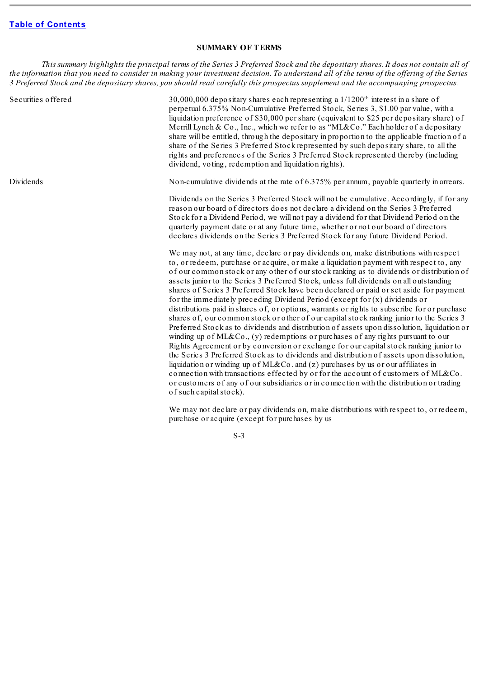### **SUMMARY OF TERMS**

<span id="page-3-0"></span>This summary highlights the principal terms of the Series 3 Preferred Stock and the depositary shares. It does not contain all of the information that you need to consider in making your investment decision. To understand all of the terms of the offering of the Series 3 Preferred Stock and the depositary shares, you should read carefully this prospectus supplement and the accompanying prospectus.

Securities offered 30,000,000 depositary shares each representing a 1/1200<sup>th</sup> interest in a share of perpetual 6.375% Non-Cumulative Preferred Stock, Series 3, \$1.00 par value, with a liquidation preference of \$30,000 per share (equivalent to \$25 per depositary share) of Merrill Lynch & Co., Inc., which we refer to as "ML&Co." Each holder of a depositary share will be entitled, through the depositary in proportion to the applicable fraction of a share of the Series 3 Preferred Stock represented by such depositary share, to all the rights and preferences of the Series 3 Preferred Stock represented thereby (including dividend, voting, redemption and liquidation rights).

Dividends Non-cumulative dividends at the rate of 6.375% per annum, payable quarterly in arrears.

Dividends on the Series 3 Preferred Stock will not be cumulative. Accordingly, if for any reason our board of directors does not declare a dividend on the Series 3 Preferred Stock for a Dividend Period, we will not pay a dividend for that Dividend Period on the quarterly payment date or at any future time, whether or not our board of directors declares dividends on the Series 3 Preferred Stock for any future Dividend Period.

We may not, at any time, declare or pay dividends on, make distributions with respect to, or redeem, purchase or acquire, or make a liquidation payment with respect to, any of our common stock or any other of our stock ranking as to dividends or distribution of assets junior to the Series 3 Preferred Stock, unless full dividends on all outstanding shares of Series 3 Preferred Stock have been declared or paid or set aside for payment for the immediately preceding Dividend Period (except for (x) dividends or distributions paid in shares of, or options, warrants or rights to subscribe for or purchase shares of, our common stock or other of our capitalstock ranking junior to the Series 3 Preferred Stock as to dividends and distribution of assets upon dissolution, liquidation or winding up of ML&Co., (y) redemptions or purchases of any rights pursuant to our Rights Agreement or by conversion or exchange for our capitalstock ranking junior to the Series 3 Preferred Stock as to dividends and distribution of assets upon dissolution, liquidation or winding up of ML&Co. and (z) purchases by us or our affiliates in connection with transactions effected by or for the account of customers of ML&Co. or customers of any of our subsidiaries or in connection with the distribution or trading of such capital stock).

We may not declare or pay dividends on, make distributions with respect to, or redeem, purchase or acquire (except for purchases by us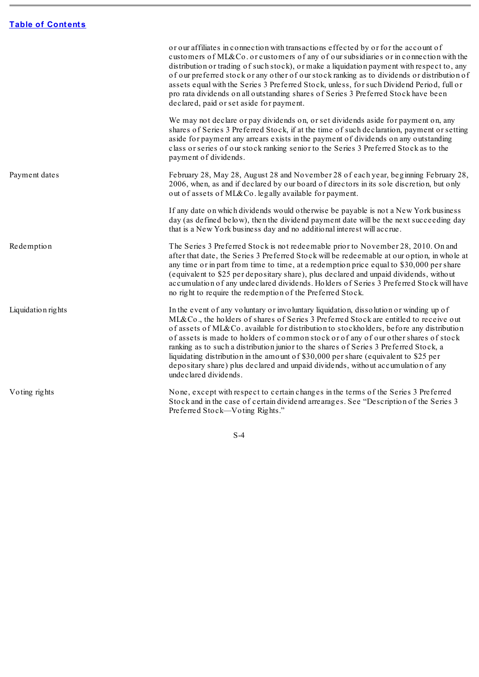<u> Tanzania (h. 1878).</u>

|                    | or our affiliates in connection with transactions effected by or for the account of<br>customers of ML&Co. or customers of any of our subsidiaries or in connection with the<br>distribution or trading of such stock), or make a liquidation payment with respect to, any<br>of our preferred stock or any other of our stock ranking as to dividends or distribution of<br>assets equal with the Series 3 Preferred Stock, unless, for such Dividend Period, full or<br>pro rata dividends on all outstanding shares of Series 3 Preferred Stock have been<br>declared, paid or set aside for payment.                                                         |
|--------------------|------------------------------------------------------------------------------------------------------------------------------------------------------------------------------------------------------------------------------------------------------------------------------------------------------------------------------------------------------------------------------------------------------------------------------------------------------------------------------------------------------------------------------------------------------------------------------------------------------------------------------------------------------------------|
|                    | We may not declare or pay dividends on, or set dividends aside for payment on, any<br>shares of Series 3 Preferred Stock, if at the time of such declaration, payment or setting<br>aside for payment any arrears exists in the payment of dividends on any outstanding<br>class or series of our stock ranking senior to the Series 3 Preferred Stock as to the<br>payment of dividends.                                                                                                                                                                                                                                                                        |
| Payment dates      | February 28, May 28, August 28 and November 28 of each year, beginning February 28,<br>2006, when, as and if declared by our board of directors in its sole discretion, but only<br>out of assets of ML&Co. legally available for payment.                                                                                                                                                                                                                                                                                                                                                                                                                       |
|                    | If any date on which dividends would otherwise be payable is not a New York business<br>day (as defined below), then the dividend payment date will be the next succeeding day<br>that is a New York business day and no additional interest will accrue.                                                                                                                                                                                                                                                                                                                                                                                                        |
| Redemption         | The Series 3 Preferred Stock is not redeemable prior to November 28, 2010. On and<br>after that date, the Series 3 Preferred Stock will be redeemable at our option, in whole at<br>any time or in part from time to time, at a redemption price equal to \$30,000 per share<br>(equivalent to \$25 per depositary share), plus declared and unpaid dividends, without<br>accumulation of any undeclared dividends. Holders of Series 3 Preferred Stock will have<br>no right to require the redemption of the Preferred Stock.                                                                                                                                  |
| Liquidation rights | In the event of any voluntary or involuntary liquidation, dissolution or winding up of<br>ML&Co., the holders of shares of Series 3 Preferred Stock are entitled to receive out<br>of assets of ML&Co. available for distribution to stockholders, before any distribution<br>of assets is made to holders of common stock or of any of our other shares of stock<br>ranking as to such a distribution junior to the shares of Series 3 Preferred Stock, a<br>liquidating distribution in the amount of \$30,000 per share (equivalent to \$25 per<br>depositary share) plus declared and unpaid dividends, without accumulation of any<br>undeclared dividends. |
| Voting rights      | None, except with respect to certain changes in the terms of the Series 3 Preferred<br>Stock and in the case of certain dividend arrearages. See "Description of the Series 3<br>Preferred Stock-Voting Rights."                                                                                                                                                                                                                                                                                                                                                                                                                                                 |

÷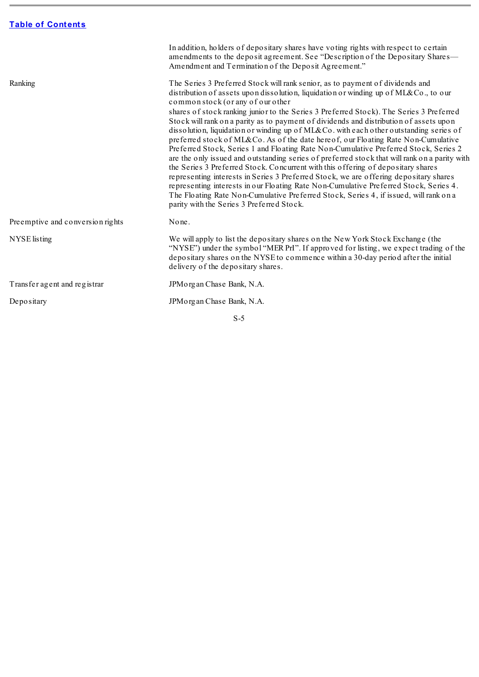$\sim$ 

|                                  | In addition, holders of depositary shares have voting rights with respect to certain<br>amendments to the deposit agreement. See "Description of the Depositary Shares—<br>Amendment and Termination of the Deposit Agreement."                                                                                                                                                                                                                                                                                                                                                                                                                                                                                                                                                                                                                                                                                                                                                                                                                                                                                                                                                     |
|----------------------------------|-------------------------------------------------------------------------------------------------------------------------------------------------------------------------------------------------------------------------------------------------------------------------------------------------------------------------------------------------------------------------------------------------------------------------------------------------------------------------------------------------------------------------------------------------------------------------------------------------------------------------------------------------------------------------------------------------------------------------------------------------------------------------------------------------------------------------------------------------------------------------------------------------------------------------------------------------------------------------------------------------------------------------------------------------------------------------------------------------------------------------------------------------------------------------------------|
| Ranking                          | The Series 3 Preferred Stock will rank senior, as to payment of dividends and<br>distribution of assets upon dissolution, liquidation or winding up of ML&Co., to our<br>common stock (or any of our other<br>shares of stock ranking junior to the Series 3 Preferred Stock). The Series 3 Preferred<br>Stock will rank on a parity as to payment of dividends and distribution of assets upon<br>dissolution, liquidation or winding up of ML&Co. with each other outstanding series of<br>preferred stock of ML&Co. As of the date hereof, our Floating Rate Non-Cumulative<br>Preferred Stock, Series 1 and Floating Rate Non-Cumulative Preferred Stock, Series 2<br>are the only issued and outstanding series of preferred stock that will rank on a parity with<br>the Series 3 Preferred Stock. Concurrent with this offering of depositary shares<br>representing interests in Series 3 Preferred Stock, we are offering depositary shares<br>representing interests in our Floating Rate Non-Cumulative Preferred Stock, Series 4.<br>The Floating Rate Non-Cumulative Preferred Stock, Series 4, if issued, will rank on a<br>parity with the Series 3 Preferred Stock. |
| Preemptive and conversion rights | None.                                                                                                                                                                                                                                                                                                                                                                                                                                                                                                                                                                                                                                                                                                                                                                                                                                                                                                                                                                                                                                                                                                                                                                               |
| NYSE listing                     | We will apply to list the depositary shares on the New York Stock Exchange (the<br>"NYSE") under the symbol "MER PrI". If approved for listing, we expect trading of the<br>depositary shares on the NYSE to commence within a 30-day period after the initial<br>delivery of the depositary shares.                                                                                                                                                                                                                                                                                                                                                                                                                                                                                                                                                                                                                                                                                                                                                                                                                                                                                |
| Transfer agent and registrar     | JPM organ Chase Bank, N.A.                                                                                                                                                                                                                                                                                                                                                                                                                                                                                                                                                                                                                                                                                                                                                                                                                                                                                                                                                                                                                                                                                                                                                          |
| Depositary                       | JPM organ Chase Bank, N.A.                                                                                                                                                                                                                                                                                                                                                                                                                                                                                                                                                                                                                                                                                                                                                                                                                                                                                                                                                                                                                                                                                                                                                          |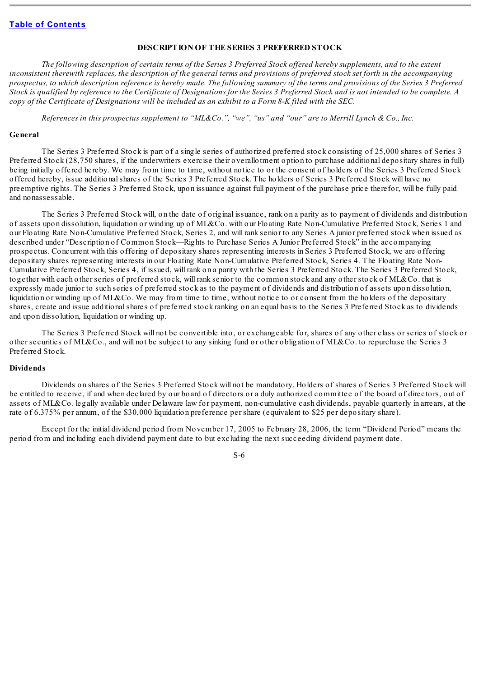#### **DESCRIPTION OF THE SERIES 3 PREFERRED STOCK**

<span id="page-6-0"></span>The following description of certain terms of the Series 3 Preferred Stock offered hereby supplements, and to the extent inconsistent therewith replaces, the description of the general terms and provisions of preferred stock set forth in the accompanying prospectus, to which description reference is hereby made. The following summary of the terms and provisions of the Series 3 Preferred Stock is qualified by reference to the Certificate of Designations for the Series 3 Preferred Stock and is not intended to be complete. A copy of the Certificate of Designations will be included as an exhibit to a Form 8-K filed with the SEC.

References in this prospectus supplement to "ML&Co.", "we", "us" and "our" are to Merrill Lynch & Co., Inc.

#### **General**

The Series 3 Preferred Stock is part of a single series of authorized preferred stock consisting of 25,000 shares of Series 3 Preferred Stock (28,750 shares, if the underwriters exercise their overallotment option to purchase additional depositary shares in full) being initially offered hereby. We may from time to time, without notice to or the consent of holders of the Series 3 Preferred Stock offered hereby, issue additionalshares of the Series 3 Preferred Stock. The holders of Series 3 Preferred Stock will have no preemptive rights. The Series 3 Preferred Stock, upon issuance against full payment of the purchase price therefor, will be fully paid and nonassessable.

The Series 3 Preferred Stock will, on the date of original issuance, rank on a parity as to payment of dividends and distribution of assets upon dissolution, liquidation or winding up of ML&Co. with our Floating Rate Non-Cumulative Preferred Stock, Series 1 and our Floating Rate Non-Cumulative Preferred Stock, Series 2, and will rank senior to any Series A junior preferred stock when issued as described under "Description of Common Stock—Rights to Purchase Series A Junior Preferred Stock" in the accompanying prospectus. Concurrent with this offering of depositary shares representing interests in Series 3 Preferred Stock, we are offering depositary shares representing interests in our Floating Rate Non-Cumulative Preferred Stock, Series 4. The Floating Rate Non-Cumulative Preferred Stock, Series 4, if issued, will rank on a parity with the Series 3 Preferred Stock. The Series 3 Preferred Stock, together with each other series of preferred stock, will rank senior to the common stock and any other stock of ML&Co. that is expressly made junior to such series of preferred stock as to the payment of dividends and distribution of assets upon dissolution, liquidation or winding up of ML&Co. We may from time to time, without notice to or consent from the holders of the depositary shares, create and issue additionalshares of preferred stock ranking on an equal basis to the Series 3 Preferred Stock as to dividends and upon dissolution, liquidation or winding up.

The Series 3 Preferred Stock will not be convertible into, or exchangeable for, shares of any other class or series of stock or other securities of ML&Co., and will not be subject to any sinking fund or other obligation of ML&Co. to repurchase the Series 3 Preferred Stock.

### **Dividends**

Dividends on shares of the Series 3 Preferred Stock will not be mandatory. Holders of shares of Series 3 Preferred Stock will be entitled to receive, if and when declared by our board of directors or a duly authorized committee of the board of directors, out of assets of ML&Co. legally available under Delaware law for payment, non-cumulative cash dividends, payable quarterly in arrears, at the rate of 6.375% per annum, of the \$30,000 liquidation preference per share (equivalent to \$25 per depositary share).

Except for the initial dividend period from November 17, 2005 to February 28, 2006, the term "Dividend Period" means the period from and including each dividend payment date to but excluding the next succeeding dividend payment date.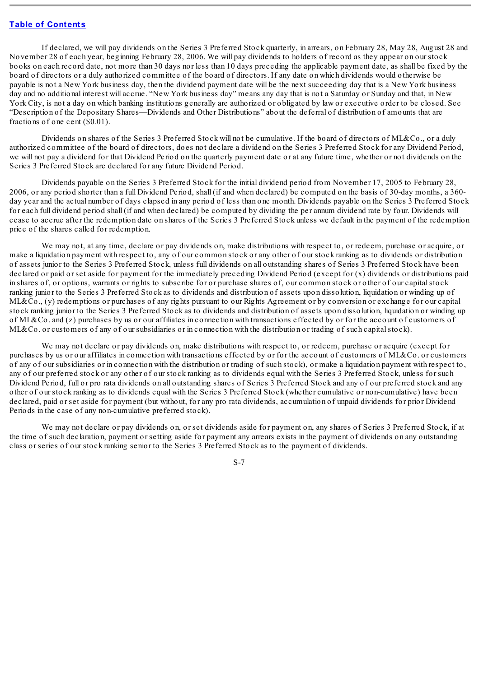If declared, we will pay dividends on the Series 3 Preferred Stock quarterly, in arrears, on February 28, May 28, August 28 and November 28 of each year, beginning February 28, 2006. We will pay dividends to holders of record as they appear on our stock books on each record date, not more than 30 days nor less than 10 days preceding the applicable payment date, as shall be fixed by the board of directors or a duly authorized committee of the board of directors. If any date on which dividends would otherwise be payable is not a New York business day, then the dividend payment date will be the next succeeding day that is a New York business day and no additional interest will accrue. "New York business day" means any day that is not a Saturday or Sunday and that, in New York City, is not a day on which banking institutions generally are authorized or obligated by law or executive order to be closed. See "Description of the Depositary Shares—Dividends and Other Distributions" about the deferral of distribution of amounts that are fractions of one cent (\$0.01).

Dividends on shares of the Series 3 Preferred Stock will not be cumulative. If the board of directors of ML&Co., or a duly authorized committee of the board of directors, does not declare a dividend on the Series 3 Preferred Stock for any Dividend Period, we will not pay a dividend for that Dividend Period on the quarterly payment date or at any future time, whether or not dividends on the Series 3 Preferred Stock are declared for any future Dividend Period.

Dividends payable on the Series 3 Preferred Stock for the initial dividend period from November 17, 2005 to February 28, 2006, or any period shorter than a full Dividend Period, shall (if and when declared) be computed on the basis of 30-day months, a 360 day year and the actual number of days elapsed in any period of less than one month. Dividends payable on the Series 3 Preferred Stock for each full dividend period shall (if and when declared) be computed by dividing the per annum dividend rate by four. Dividends will cease to accrue after the redemption date on shares of the Series 3 Preferred Stock unless we default in the payment of the redemption price of the shares called for redemption.

We may not, at any time, declare or pay dividends on, make distributions with respect to, or redeem, purchase or acquire, or make a liquidation payment with respect to, any of our common stock or any other of our stock ranking as to dividends or distribution of assets junior to the Series 3 Preferred Stock, unless full dividends on all outstanding shares of Series 3 Preferred Stock have been declared or paid or set aside for payment for the immediately preceding Dividend Period (except for (x) dividends or distributions paid in shares of, or options, warrants or rights to subscribe for or purchase shares of, our common stock or other of our capitalstock ranking junior to the Series 3 Preferred Stock as to dividends and distribution of assets upon dissolution, liquidation or winding up of ML&Co., (y) redemptions or purchases of any rights pursuant to our Rights Agreement or by conversion or exchange for our capital stock ranking junior to the Series 3 Preferred Stock as to dividends and distribution of assets upon dissolution, liquidation or winding up of ML&Co. and (z) purchases by us or our affiliates in connection with transactions effected by or for the account of customers of ML&Co. or customers of any of our subsidiaries or in connection with the distribution or trading of such capital stock).

We may not declare or pay dividends on, make distributions with respect to, or redeem, purchase or acquire (except for purchases by us or our affiliates in connection with transactions effected by or for the account of customers of ML&Co. or customers of any of our subsidiaries or in connection with the distribution or trading of such stock), or make a liquidation payment with respect to, any of our preferred stock or any other of our stock ranking as to dividends equal with the Series 3 Preferred Stock, unless for such Dividend Period, full or pro rata dividends on all outstanding shares of Series 3 Preferred Stock and any of our preferred stock and any other of our stock ranking as to dividends equal with the Series 3 Preferred Stock (whether cumulative or non-cumulative) have been declared, paid or set aside for payment (but without, for any pro rata dividends, accumulation of unpaid dividends for prior Dividend Periods in the case of any non-cumulative preferred stock).

We may not declare or pay dividends on, or set dividends aside for payment on, any shares of Series 3 Preferred Stock, if at the time of such declaration, payment or setting aside for payment any arrears exists in the payment of dividends on any outstanding class or series of our stock ranking senior to the Series 3 Preferred Stock as to the payment of dividends.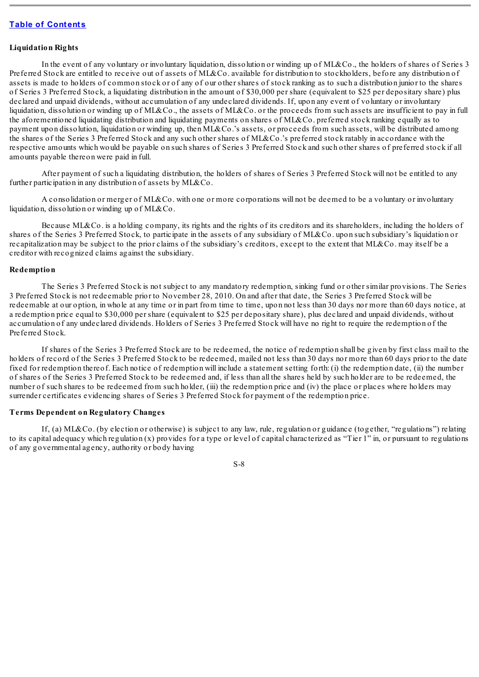#### **Liquidation Rights**

In the event of any voluntary or involuntary liquidation, dissolution or winding up of ML&Co., the holders of shares of Series 3 Preferred Stock are entitled to receive out of assets of ML&Co. available for distribution to stockholders, before any distribution of assets is made to holders of common stock or of any of our other shares of stock ranking as to such a distribution junior to the shares of Series 3 Preferred Stock, a liquidating distribution in the amount of \$30,000 per share (equivalent to \$25 per depositary share) plus declared and unpaid dividends, without accumulation of any undeclared dividends. If, upon any event of voluntary or involuntary liquidation, dissolution or winding up of ML&Co., the assets of ML&Co, or the proceeds from such assets are insufficient to pay in full the aforementioned liquidating distribution and liquidating payments on shares of ML&Co. preferred stock ranking equally as to payment upon dissolution, liquidation or winding up, then ML&Co.'s assets, or proceeds from such assets, will be distributed among the shares of the Series 3 Preferred Stock and any such other shares of ML&Co.'s preferred stock ratably in accordance with the respective amounts which would be payable on such shares of Series 3 Preferred Stock and such other shares of preferred stock if all amounts payable thereon were paid in full.

After payment of such a liquidating distribution, the holders of shares of Series 3 Preferred Stock will not be entitled to any further participation in any distribution of assets by ML&Co.

A consolidation or merger of ML&Co. with one or more corporations will not be deemed to be a voluntary or involuntary liquidation, dissolution or winding up of ML&Co.

Because ML&Co. is a holding company, its rights and the rights of its creditors and its shareholders, including the holders of shares of the Series 3 Preferred Stock, to participate in the assets of any subsidiary of ML&Co. upon such subsidiary's liquidation or recapitalization may be subject to the prior claims of the subsidiary's creditors, except to the extent that ML&Co. may itself be a creditor with recognized claims against the subsidiary.

#### **Redemption**

The Series 3 Preferred Stock is not subject to any mandatory redemption, sinking fund or other similar provisions. The Series 3 Preferred Stock is not redeemable prior to November 28, 2010. On and after that date, the Series 3 Preferred Stock will be redeemable at our option, in whole at any time or in part from time to time, upon not less than 30 days nor more than 60 days notice, at a redemption price equal to \$30,000 per share (equivalent to \$25 per depositary share), plus declared and unpaid dividends, without accumulation of any undeclared dividends. Holders of Series 3 Preferred Stock will have no right to require the redemption of the Preferred Stock.

If shares of the Series 3 Preferred Stock are to be redeemed, the notice of redemption shall be given by first class mail to the holders of record of the Series 3 Preferred Stock to be redeemed, mailed not less than 30 days nor more than 60 days prior to the date fixed for redemption thereof. Each notice of redemption will include a statement setting forth: (i) the redemption date, (ii) the number of shares of the Series 3 Preferred Stock to be redeemed and, if less than all the shares held by such holder are to be redeemed, the number of such shares to be redeemed from such holder, (iii) the redemption price and (iv) the place or places where holders may surrender certificates evidencing shares of Series 3 Preferred Stock for payment of the redemption price.

### **Terms Dependent on Regulatory Changes**

If, (a) ML&Co. (by election or otherwise) is subject to any law, rule, regulation or guidance (together, "regulations") relating to its capital adequacy which regulation (x) provides for a type or level of capital characterized as "Tier 1" in, or pursuant to regulations of any governmental agency, authority or body having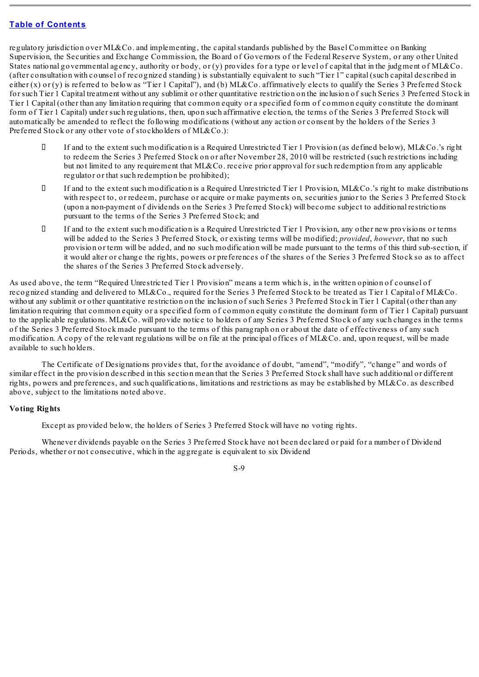regulatory jurisdiction over ML&Co. and implementing, the capital standards published by the Basel Committee on Banking Supervision, the Securities and Exchange Commission, the Board of Governors of the Federal Reserve System, or any other United States national governmental agency, authority or body, or (y) provides for a type or level of capital that in the judgment of ML&Co. (after consultation with counsel of recognized standing) is substantially equivalent to such "Tier 1" capital (such capital described in either  $(x)$  or  $(y)$  is referred to below as "Tier 1 Capital"), and (b) ML&Co. affirmatively elects to qualify the Series 3 Preferred Stock for such Tier 1 Capital treatment without any sublimit or other quantitative restriction on the inclusion of such Series 3 Preferred Stock in Tier 1 Capital (other than any limitation requiring that common equity or a specified form of common equity constitute the dominant form of Tier 1 Capital) under such regulations, then, upon such affirmative election, the terms of the Series 3 Preferred Stock will automatically be amended to reflect the following modifications (without any action or consent by the holders of the Series 3 Preferred Stock or any other vote of stockholders of ML&Co.):

- If and to the extent such modification is a Required Unrestricted Tier 1 Provision (as defined below), ML&Co.'s right to redeem the Series 3 Preferred Stock on or after November 28, 2010 will be restricted (such restrictions including but not limited to any requirement that ML&Co. receive prior approval for such redemption from any applicable regulator or that such redemption be prohibited);
- If and to the extent such modification is a Required Unrestricted Tier 1 Provision, ML&Co.'s right to make distributions with respect to, or redeem, purchase or acquire or make payments on, securities junior to the Series 3 Preferred Stock (upon a non-payment of dividends on the Series 3 Preferred Stock) will become subject to additional restrictions pursuant to the terms of the Series 3 Preferred Stock; and
- If and to the extent such modification is a Required Unrestricted Tier 1 Provision, any other new provisions or terms will be added to the Series 3 Preferred Stock, or existing terms will be modified; *provided*, *however*, that no such provision or term will be added, and no such modification will be made pursuant to the terms of this third sub-section, if it would alter or change the rights, powers or preferences of the shares of the Series 3 Preferred Stock so as to affect the shares of the Series 3 Preferred Stock adversely.

As used above, the term "Required Unrestricted Tier 1 Provision" means a term which is, in the written opinion of counsel of recognized standing and delivered to ML&Co., required for the Series 3 Preferred Stock to be treated as Tier 1 Capital of ML&Co. without any sublimit or other quantitative restriction on the inclusion of such Series 3 Preferred Stock in Tier 1 Capital (other than any limitation requiring that common equity or a specified form of common equity constitute the dominant form of Tier 1 Capital) pursuant to the applicable regulations. ML&Co. will provide notice to holders of any Series 3 Preferred Stock of any such changes in the terms of the Series 3 Preferred Stock made pursuant to the terms of this paragraph on or about the date of effectiveness of any such modification. A copy of the relevant regulations will be on file at the principal offices of ML&Co, and, upon request, will be made available to such holders.

The Certificate of Designations provides that, for the avoidance of doubt, "amend", "modify", "change" and words of similar effect in the provision described in this section mean that the Series 3 Preferred Stock shall have such additional or different rights, powers and preferences, and such qualifications, limitations and restrictions as may be established by ML&Co. as described above, subject to the limitations noted above.

### **Voting Rights**

Except as provided below, the holders of Series 3 Preferred Stock will have no voting rights.

Whenever dividends payable on the Series 3 Preferred Stock have not been declared or paid for a number of Dividend Periods, whether or not consecutive, which in the aggregate is equivalent to six Dividend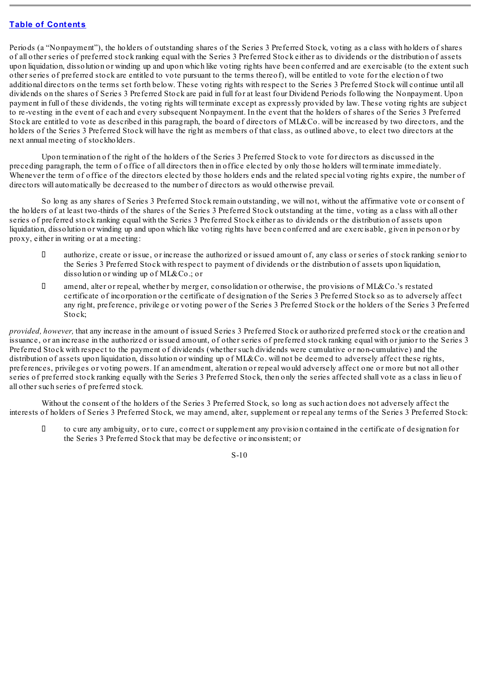Periods (a "Nonpayment"), the holders of outstanding shares of the Series 3 Preferred Stock, voting as a class with holders of shares of all other series of preferred stock ranking equal with the Series 3 Preferred Stock either as to dividends or the distribution of assets upon liquidation, dissolution or winding up and upon which like voting rights have been conferred and are exercisable (to the extent such other series of preferred stock are entitled to vote pursuant to the terms thereof), will be entitled to vote for the election of two additional directors on the terms set forth below. These voting rights with respect to the Series 3 Preferred Stock will continue until all dividends on the shares of Series 3 Preferred Stock are paid in full for at least four Dividend Periods following the Nonpayment. Upon payment in full of these dividends, the voting rights will terminate except as expressly provided by law. These voting rights are subject to re-vesting in the event of each and every subsequent Nonpayment. In the event that the holders of shares of the Series 3 Preferred Stock are entitled to vote as described in this paragraph, the board of directors of ML&Co. will be increased by two directors, and the holders of the Series 3 Preferred Stock will have the right as members of that class, as outlined above, to elect two directors at the next annual meeting of stockholders.

Upon termination of the right of the holders of the Series 3 Preferred Stock to vote for directors as discussed in the preceding paragraph, the term of office of all directors then in office elected by only those holders will terminate immediately. Whenever the term of office of the directors elected by those holders ends and the related special voting rights expire, the number of directors will automatically be decreased to the number of directors as would otherwise prevail.

So long as any shares of Series 3 Preferred Stock remain outstanding, we will not, without the affirmative vote or consent of the holders of at least two-thirds of the shares of the Series 3 Preferred Stock outstanding at the time, voting as a class with all other series of preferred stock ranking equal with the Series 3 Preferred Stock either as to dividends or the distribution of assets upon liquidation, dissolution or winding up and upon which like voting rights have been conferred and are exercisable, given in person or by proxy, either in writing or at a meeting:

- $\Box$  authorize, create or issue, or increase the authorized or issued amount of, any class or series of stock ranking senior to the Series 3 Preferred Stock with respect to payment of dividends or the distribution of assets upon liquidation, dissolution or winding up of ML&Co.; or
- amend, alter or repeal, whether by merger, consolidation or otherwise, the provisions of ML&Co.'s restated certificate of incorporation or the certificate of designation of the Series 3 Preferred Stock so as to adversely affect any right, preference, privilege or voting power of the Series 3 Preferred Stock or the holders of the Series 3 Preferred Stock:

*provided, however,* that any increase in the amount of issued Series 3 Preferred Stock or authorized preferred stock or the creation and issuance, or an increase in the authorized or issued amount, of other series of preferred stock ranking equal with or junior to the Series 3 Preferred Stock with respect to the payment of dividends (whether such dividends were cumulative or non-cumulative) and the distribution of assets upon liquidation, dissolution or winding up of ML&Co, will not be deemed to adversely affect these rights, preferences, privileges or voting powers. If an amendment, alteration or repeal would adversely affect one or more but not all other series of preferred stock ranking equally with the Series 3 Preferred Stock, then only the series affected shall vote as a class in lieu of all other such series of preferred stock.

Without the consent of the holders of the Series 3 Preferred Stock, so long as such action does not adversely affect the interests of holders of Series 3 Preferred Stock, we may amend, alter, supplement or repeal any terms of the Series 3 Preferred Stock:

 $\Box$  to cure any ambiguity, or to cure, correct or supplement any provision contained in the certificate of designation for the Series 3 Preferred Stock that may be defective or inconsistent; or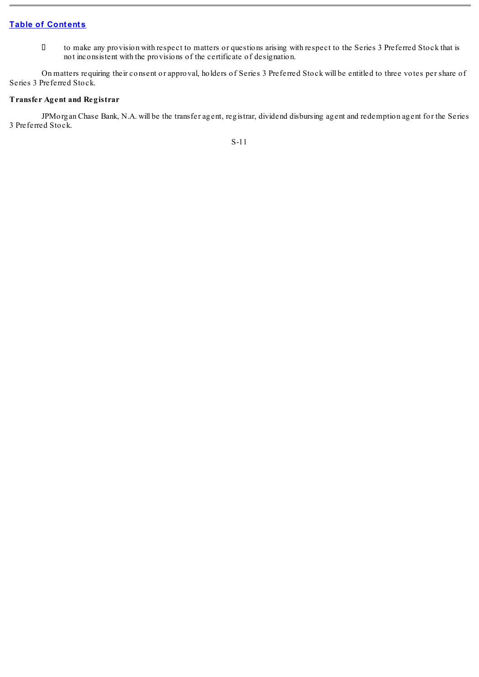to make any provision with respect to matters or questions arising with respect to the Series 3 Preferred Stock that is not inconsistent with the provisions of the certificate of designation.

On matters requiring their consent or approval, holders of Series 3 Preferred Stock will be entitled to three votes per share of Series 3 Preferred Stock.

### **Transfer Agent and Registrar**

JPMorgan Chase Bank, N.A. will be the transfer agent, registrar, dividend disbursing agent and redemption agent for the Series 3 Preferred Stock.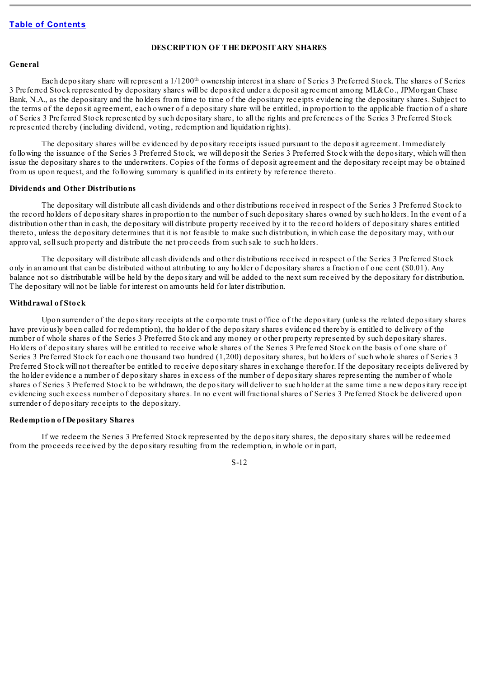#### **DESCRIPTION OF THE DEPOSITARY SHARES**

#### <span id="page-12-0"></span>**General**

Each depositary share will represent a  $1/1200$ <sup>th</sup> ownership interest in a share of Series 3 Preferred Stock. The shares of Series 3 Preferred Stock represented by depositary shares will be deposited under a deposit agreement among ML&Co., JPMorgan Chase Bank, N.A., as the depositary and the holders from time to time of the depositary receipts evidencing the depositary shares. Subject to the terms of the deposit agreement, each owner of a depositary share will be entitled, in proportion to the applicable fraction of a share of Series 3 Preferred Stock represented by such depositary share, to all the rights and preferences of the Series 3 Preferred Stock represented thereby (including dividend, voting, redemption and liquidation rights).

The depositary shares will be evidenced by depositary receipts issued pursuant to the deposit agreement. Immediately following the issuance of the Series 3 Preferred Stock, we will deposit the Series 3 Preferred Stock with the depositary, which will then issue the depositary shares to the underwriters. Copies of the forms of deposit agreement and the depositary receipt may be obtained from us upon request, and the following summary is qualified in its entirety by reference thereto.

#### **Dividends and Other Distributions**

The depositary will distribute all cash dividends and other distributions received in respect of the Series 3 Preferred Stock to the record holders of depositary shares in proportion to the number of such depositary shares owned by such holders. In the event of a distribution other than in cash, the depositary will distribute property received by it to the record holders of depositary shares entitled thereto, unless the depositary determines that it is not feasible to make such distribution, in which case the depositary may, with our approval, sellsuch property and distribute the net proceeds from such sale to such holders.

The depositary will distribute all cash dividends and other distributions received in respect of the Series 3 Preferred Stock only in an amount that can be distributed without attributing to any holder of depositary shares a fraction of one cent (\$0.01). Any balance not so distributable will be held by the depositary and will be added to the next sum received by the depositary for distribution. The depositary will not be liable for interest on amounts held for later distribution.

#### **Withdrawal of Stock**

Upon surrender of the depositary receipts at the corporate trust office of the depositary (unless the related depositary shares have previously been called for redemption), the holder of the depositary shares evidenced thereby is entitled to delivery of the number of whole shares of the Series 3 Preferred Stock and any money or other property represented by such depositary shares. Holders of depositary shares will be entitled to receive whole shares of the Series 3 Preferred Stock on the basis of one share of Series 3 Preferred Stock for each one thousand two hundred (1,200) depositary shares, but holders of such whole shares of Series 3 Preferred Stock will not thereafter be entitled to receive depositary shares in exchange therefor. If the depositary receipts delivered by the holder evidence a number of depositary shares in excess of the number of depositary shares representing the number of whole shares of Series 3 Preferred Stock to be withdrawn, the depositary will deliver to such holder at the same time a new depositary receipt evidencing such excess number of depositary shares. In no event will fractionalshares of Series 3 Preferred Stock be delivered upon surrender of depositary receipts to the depositary.

#### **Redemption of Depositary Shares**

If we redeem the Series 3 Preferred Stock represented by the depositary shares, the depositary shares will be redeemed from the proceeds received by the depositary resulting from the redemption, in whole or in part,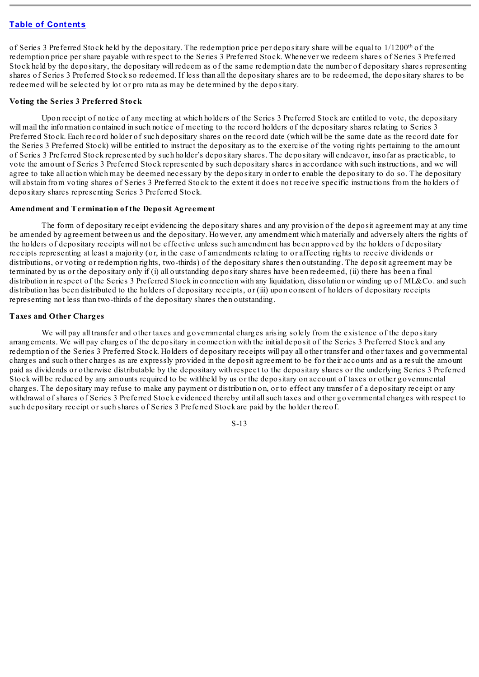of Series 3 Preferred Stock held by the depositary. The redemption price per depositary share will be equal to  $1/1200<sup>th</sup>$  of the redemption price per share payable with respect to the Series 3 Preferred Stock. Whenever we redeem shares of Series 3 Preferred Stock held by the depositary, the depositary will redeem as of the same redemption date the number of depositary shares representing shares of Series 3 Preferred Stock so redeemed. If less than all the depositary shares are to be redeemed, the depositary shares to be redeemed will be selected by lot or pro rata as may be determined by the depositary.

### **Voting the Series 3 Preferred Stock**

Upon receipt of notice of any meeting at which holders of the Series 3 Preferred Stock are entitled to vote, the depositary will mail the information contained in such notice of meeting to the record holders of the depositary shares relating to Series 3 Preferred Stock. Each record holder of such depositary shares on the record date (which will be the same date as the record date for the Series 3 Preferred Stock) will be entitled to instruct the depositary as to the exercise of the voting rights pertaining to the amount of Series 3 Preferred Stock represented by such holder's depositary shares. The depositary will endeavor, insofar as practicable, to vote the amount of Series 3 Preferred Stock represented by such depositary shares in accordance with such instructions, and we will agree to take all action which may be deemed necessary by the depositary in order to enable the depositary to do so. The depositary will abstain from voting shares of Series 3 Preferred Stock to the extent it does not receive specific instructions from the holders of depositary shares representing Series 3 Preferred Stock.

#### **Amendment and Termination of the Deposit Agreement**

The form of depositary receipt evidencing the depositary shares and any provision of the deposit agreement may at any time be amended by agreement between us and the depositary. However, any amendment which materially and adversely alters the rights of the holders of depositary receipts will not be effective unless such amendment has been approved by the holders of depositary receipts representing at least a majority (or, in the case of amendments relating to or affecting rights to receive dividends or distributions, or voting or redemption rights, two-thirds) of the depositary shares then outstanding. The deposit agreement may be terminated by us or the depositary only if (i) all outstanding depositary shares have been redeemed, (ii) there has been a final distribution in respect of the Series 3 Preferred Stock in connection with any liquidation, dissolution or winding up of ML&Co. and such distribution has been distributed to the holders of depositary receipts, or (iii) upon consent of holders of depositary receipts representing not less than two-thirds of the depositary shares then outstanding.

#### **Taxes and Other Charges**

We will pay all transfer and other taxes and governmental charges arising solely from the existence of the depositary arrangements. We will pay charges of the depositary in connection with the initial deposit of the Series 3 Preferred Stock and any redemption of the Series 3 Preferred Stock. Holders of depositary receipts will pay all other transfer and other taxes and governmental charges and such other charges as are expressly provided in the deposit agreement to be for their accounts and as a result the amount paid as dividends or otherwise distributable by the depositary with respect to the depositary shares or the underlying Series 3 Preferred Stock will be reduced by any amounts required to be withheld by us or the depositary on account of taxes or other governmental charges. The depositary may refuse to make any payment or distribution on, or to effect any transfer of a depositary receipt or any withdrawal of shares of Series 3 Preferred Stock evidenced thereby until allsuch taxes and other governmental charges with respect to such depositary receipt or such shares of Series 3 Preferred Stock are paid by the holder thereof.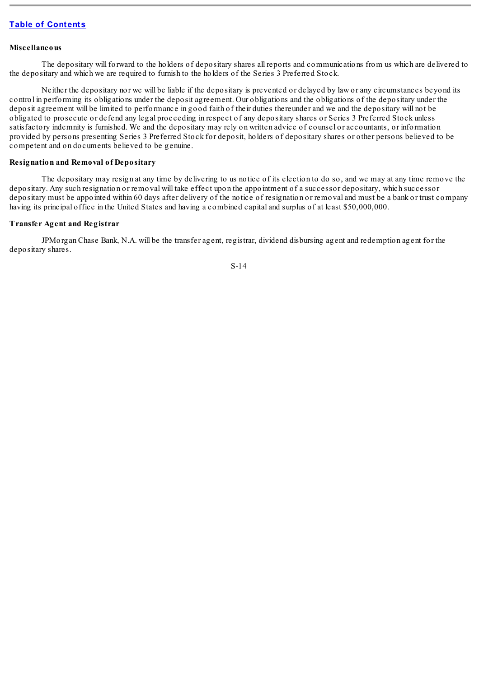#### **Miscellaneous**

The depositary will forward to the holders of depositary shares all reports and communications from us which are delivered to the depositary and which we are required to furnish to the holders of the Series 3 Preferred Stock.

Neither the depositary nor we will be liable if the depositary is prevented or delayed by law or any circumstances beyond its control in performing its obligations under the deposit agreement. Our obligations and the obligations of the depositary under the deposit agreement will be limited to performance in good faith of their duties thereunder and we and the depositary will not be obligated to prosecute or defend any legal proceeding in respect of any depositary shares or Series 3 Preferred Stock unless satisfactory indemnity is furnished. We and the depositary may rely on written advice of counsel or accountants, or information provided by persons presenting Series 3 Preferred Stock for deposit, holders of depositary shares or other persons believed to be competent and on documents believed to be genuine.

#### **Resignation and Removal of Depositary**

The depositary may resign at any time by delivering to us notice of its election to do so, and we may at any time remove the depositary. Any such resignation or removal will take effect upon the appointment of a successor depositary, which successor depositary must be appointed within 60 days after delivery of the notice of resignation or removal and must be a bank or trust company having its principal office in the United States and having a combined capital and surplus of at least \$50,000,000.

### **Transfer Agent and Registrar**

JPMorgan Chase Bank, N.A. will be the transfer agent, registrar, dividend disbursing agent and redemption agent for the depositary shares.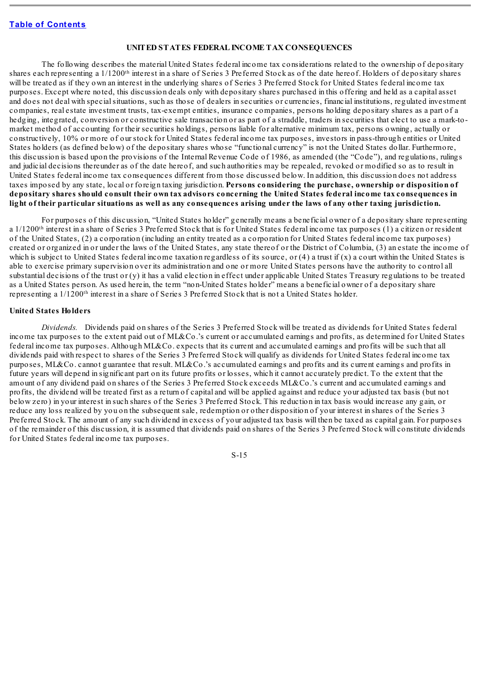### **UNITED STATES FEDERAL INCOME TAX CONSEQUENCES**

<span id="page-15-0"></span>The following describes the material United States federal income tax considerations related to the ownership of depositary shares each representing a  $1/1200$ <sup>th</sup> interest in a share of Series 3 Preferred Stock as of the date hereof. Holders of depositary shares will be treated as if they own an interest in the underlying shares of Series 3 Preferred Stock for United States federal income tax purposes. Except where noted, this discussion deals only with depositary shares purchased in this offering and held as a capital asset and does not deal with specialsituations, such as those of dealers in securities or currencies, financial institutions, regulated investment companies, real estate investment trusts, tax-exempt entities, insurance companies, persons holding depositary shares as a part of a hedging, integrated, conversion or constructive sale transaction or as part of a straddle, traders in securities that elect to use a mark-tomarket method of accounting for their securities holdings, persons liable for alternative minimum tax, persons owning, actually or constructively, 10% or more of our stock for United States federal income tax purposes, investors in pass-through entities or United States holders (as defined below) of the depositary shares whose "functional currency" is not the United States dollar. Furthermore, this discussion is based upon the provisions of the Internal Revenue Code of 1986, as amended (the "Code"), and regulations, rulings and judicial decisions thereunder as of the date hereof, and such authorities may be repealed, revoked or modified so as to result in United States federal income tax consequences different from those discussed below. In addition, this discussion does not address taxes imposed by any state, local or foreign taxing jurisdiction. **Persons considering the purchase, ownership or disposition of** depositary shares should consult their own tax advisors concerning the United States federal income tax consequences in light of their particular situations as well as any consequences arising under the laws of any other taxing jurisdiction.

For purposes of this discussion, "United States holder" generally means a beneficial owner of a depositary share representing a 1/1200<sup>th</sup> interest in a share of Series 3 Preferred Stock that is for United States federal income tax purposes (1) a citizen or resident of the United States, (2) a corporation (including an entity treated as a corporation for United States federal income tax purposes) created or organized in or under the laws of the United States, any state thereof or the District of Columbia, (3) an estate the income of which is subject to United States federal income taxation regardless of its source, or  $(4)$  a trust if  $(x)$  a court within the United States is able to exercise primary supervision over its administration and one or more United States persons have the authority to control all substantial decisions of the trust or (y) it has a valid election in effect under applicable United States Treasury regulations to be treated as a United States person. As used herein, the term "non-United States holder" means a beneficial owner of a depositary share representing a 1/1200<sup>th</sup> interest in a share of Series 3 Preferred Stock that is not a United States holder.

#### **United States Holders**

*Dividends.* Dividends paid on shares of the Series 3 Preferred Stock will be treated as dividends for United States federal income tax purposes to the extent paid out of ML&Co.'s current or accumulated earnings and profits, as determined for United States federal income tax purposes. Although ML&Co. expects that its current and accumulated earnings and profits will be such that all dividends paid with respect to shares of the Series 3 Preferred Stock will qualify as dividends for United States federal income tax purposes, ML&Co. cannot guarantee that result. ML&Co.'s accumulated earnings and profits and its current earnings and profits in future years will depend in significant part on its future profits or losses, which it cannot accurately predict. To the extent that the amount of any dividend paid on shares of the Series 3 Preferred Stock exceeds ML&Co.'s current and accumulated earnings and profits, the dividend will be treated first as a return of capital and will be applied against and reduce your adjusted tax basis (but not below zero) in your interest in such shares of the Series 3 Preferred Stock. This reduction in tax basis would increase any gain, or reduce any loss realized by you on the subsequent sale, redemption or other disposition of your interest in shares of the Series 3 Preferred Stock. The amount of any such dividend in excess of your adjusted tax basis will then be taxed as capital gain. For purposes of the remainder of this discussion, it is assumed that dividends paid on shares of the Series 3 Preferred Stock will constitute dividends for United States federal income tax purposes.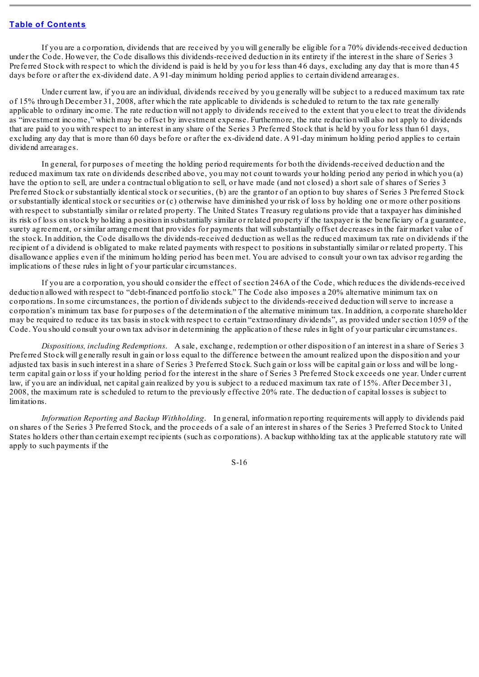If you are a corporation, dividends that are received by you will generally be eligible for a 70% dividends-received deduction under the Code. However, the Code disallows this dividends-received deduction in its entirety if the interest in the share of Series 3 Preferred Stock with respect to which the dividend is paid is held by you for less than 46 days, excluding any day that is more than 45 days before or after the ex-dividend date. A 91-day minimum holding period applies to certain dividend arrearages.

Under current law, if you are an individual, dividends received by you generally will be subject to a reduced maximum tax rate of 15% through December 31, 2008, after which the rate applicable to dividends is scheduled to return to the tax rate generally applicable to ordinary income. The rate reduction will not apply to dividends received to the extent that you elect to treat the dividends as "investment income," which may be offset by investment expense. Furthermore, the rate reduction will also not apply to dividends that are paid to you with respect to an interest in any share of the Series 3 Preferred Stock that is held by you for less than 61 days, excluding any day that is more than 60 days before or after the ex-dividend date. A 91-day minimum holding period applies to certain dividend arrearages.

In general, for purposes of meeting the holding period requirements for both the dividends-received deduction and the reduced maximum tax rate on dividends described above, you may not count towards your holding period any period in which you (a) have the option to sell, are under a contractual obligation to sell, or have made (and not closed) a short sale of shares of Series 3 Preferred Stock or substantially identicalstock or securities, (b) are the grantor of an option to buy shares of Series 3 Preferred Stock or substantially identicalstock or securities or (c) otherwise have diminished your risk of loss by holding one or more other positions with respect to substantially similar or related property. The United States Treasury regulations provide that a taxpayer has diminished its risk of loss on stock by holding a position in substantially similar or related property if the taxpayer is the beneficiary of a guarantee, surety agreement, or similar arrangement that provides for payments that willsubstantially offset decreases in the fair market value of the stock. In addition, the Code disallows the dividends-received deduction as well as the reduced maximum tax rate on dividends if the recipient of a dividend is obligated to make related payments with respect to positions in substantially similar or related property. This disallowance applies even if the minimum holding period has been met. You are advised to consult your own tax advisor regarding the implications of these rules in light of your particular circumstances.

If you are a corporation, you should consider the effect of section 246A of the Code, which reduces the dividends-received deduction allowed with respect to "debt-financed portfolio stock." The Code also imposes a 20% alternative minimum tax on corporations. In some circumstances, the portion of dividends subject to the dividends-received deduction willserve to increase a corporation's minimum tax base for purposes of the determination of the alternative minimum tax. In addition, a corporate shareholder may be required to reduce its tax basis in stock with respect to certain "extraordinary dividends", as provided under section 1059 of the Code. You should consult your own tax advisor in determining the application of these rules in light of your particular circumstances.

*Dispositions, including Redemptions*. A sale, exchange, redemption or other disposition of an interest in a share of Series 3 Preferred Stock will generally result in gain or loss equal to the difference between the amount realized upon the disposition and your adjusted tax basis in such interest in a share of Series 3 Preferred Stock. Such gain or loss will be capital gain or loss and will be longterm capital gain or loss if your holding period for the interest in the share of Series 3 Preferred Stock exceeds one year. Under current law, if you are an individual, net capital gain realized by you is subject to a reduced maximum tax rate of 15%. After December 31, 2008, the maximum rate is scheduled to return to the previously effective 20% rate. The deduction of capital losses is subject to limitations.

*Information Reporting and Backup Withholding*. In general, information reporting requirements will apply to dividends paid on shares of the Series 3 Preferred Stock, and the proceeds of a sale of an interest in shares of the Series 3 Preferred Stock to United States holders other than certain exempt recipients (such as corporations). A backup withholding tax at the applicable statutory rate will apply to such payments if the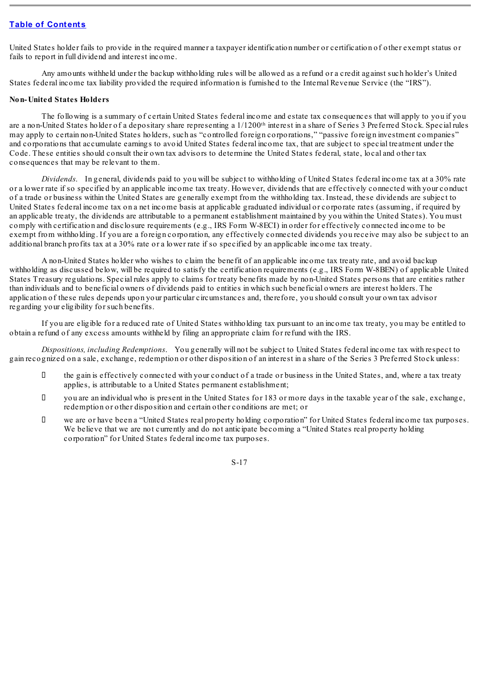United States holder fails to provide in the required manner a taxpayer identification number or certification of other exempt status or fails to report in full dividend and interest income.

Any amounts withheld under the backup withholding rules will be allowed as a refund or a credit against such holder's United States federal income tax liability provided the required information is furnished to the Internal Revenue Service (the "IRS").

#### **Non-United States Holders**

The following is a summary of certain United States federal income and estate tax consequences that will apply to you if you are a non-United States holder of a depositary share representing a  $1/1200$ <sup>th</sup> interest in a share of Series 3 Preferred Stock. Special rules may apply to certain non-United States holders, such as "controlled foreign corporations," "passive foreign investment companies" and corporations that accumulate earnings to avoid United States federal income tax, that are subject to special treatment under the Code. These entities should consult their own tax advisors to determine the United States federal, state, local and other tax consequences that may be relevant to them.

*Dividends*. In general, dividends paid to you will be subject to withholding of United States federal income tax at a 30% rate or a lower rate if so specified by an applicable income tax treaty. However, dividends that are effectively connected with your conduct of a trade or business within the United States are generally exempt from the withholding tax. Instead, these dividends are subject to United States federal income tax on a net income basis at applicable graduated individual or corporate rates (assuming, if required by an applicable treaty, the dividends are attributable to a permanent establishment maintained by you within the United States). You must comply with certification and disclosure requirements (e.g., IRS Form W-8ECI) in order for effectively connected income to be exempt from withholding. If you are a foreign corporation, any effectively connected dividends you receive may also be subject to an additional branch profits tax at a 30% rate or a lower rate if so specified by an applicable income tax treaty.

A non-United States holder who wishes to claim the benefit of an applicable income tax treaty rate, and avoid backup withholding as discussed below, will be required to satisfy the certification requirements (e.g., IRS Form W-8BEN) of applicable United States Treasury regulations. Special rules apply to claims for treaty benefits made by non-United States persons that are entities rather than individuals and to beneficial owners of dividends paid to entities in which such beneficial owners are interest holders. The application of these rules depends upon your particular circumstances and, therefore, you should consult your own tax advisor regarding your eligibility for such benefits.

If you are eligible for a reduced rate of United States withholding tax pursuant to an income tax treaty, you may be entitled to obtain a refund of any excess amounts withheld by filing an appropriate claim for refund with the IRS.

*Dispositions, including Redemptions*. You generally will not be subject to United States federal income tax with respect to gain recognized on a sale, exchange, redemption or other disposition of an interest in a share of the Series 3 Preferred Stock unless:

- $\Box$  the gain is effectively connected with your conduct of a trade or business in the United States, and, where a tax treaty applies, is attributable to a United States permanent establishment;
- $\Box$  vou are an individual who is present in the United States for 183 or more days in the taxable year of the sale, exchange, redemption or other disposition and certain other conditions are met; or
- we are or have been a "United States real property holding corporation" for United States federal income tax purposes. We believe that we are not currently and do not anticipate becoming a "United States real property holding corporation" for United States federal income tax purposes.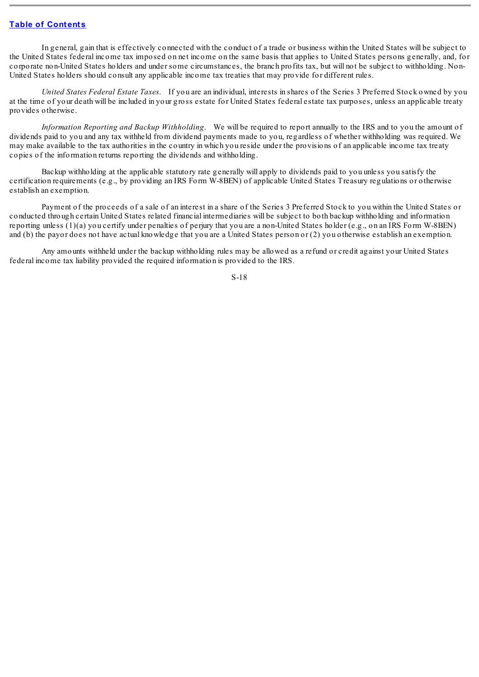In general, gain that is effectively connected with the conduct of a trade or business within the United States will be subject to the United States federal income tax imposed on net income on the same basis that applies to United States persons generally, and, for corporate non-United States holders and under some circumstances, the branch profits tax, but will not be subject to withholding. Non-United States holders should consult any applicable income tax treaties that may provide for different rules.

*United States Federal Estate Taxes*. If you are an individual, interests in shares of the Series 3 Preferred Stock owned by you at the time of your death will be included in your gross estate for United States federal estate tax purposes, unless an applicable treaty provides otherwise.

*Information Reporting and Backup Withholding*. We will be required to report annually to the IRS and to you the amount of dividends paid to you and any tax withheld from dividend payments made to you, regardless of whether withholding was required. We may make available to the tax authorities in the country in which you reside under the provisions of an applicable income tax treaty copies of the information returns reporting the dividends and withholding.

Backup withholding at the applicable statutory rate generally will apply to dividends paid to you unless you satisfy the certification requirements (e.g., by providing an IRS Form W-8BEN) of applicable United States Treasury regulations or otherwise establish an exemption.

Payment of the proceeds of a sale of an interest in a share of the Series 3 Preferred Stock to you within the United States or conducted through certain United States related financial intermediaries will be subject to both backup withholding and information reporting unless (1)(a) you certify under penalties of perjury that you are a non-United States holder (e.g., on an IRS Form W-8BEN) and (b) the payor does not have actual knowledge that you are a United States person or (2) you otherwise establish an exemption.

Any amounts withheld under the backup withholding rules may be allowed as a refund or credit against your United States federal income tax liability provided the required information is provided to the IRS.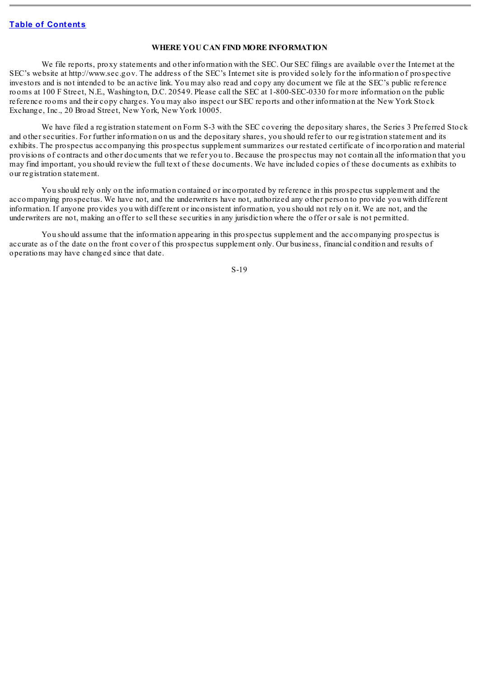### **WHERE YOU CAN FIND MORE INFORMATION**

<span id="page-19-0"></span>We file reports, proxy statements and other information with the SEC. Our SEC filings are available over the Internet at the SEC's website at http://www.sec.gov. The address of the SEC's Internet site is provided solely for the information of prospective investors and is not intended to be an active link. You may also read and copy any document we file at the SEC's public reference rooms at 100 F Street, N.E., Washington, D.C. 20549. Please call the SEC at 1-800-SEC-0330 for more information on the public reference rooms and their copy charges. You may also inspect our SEC reports and other information at the New York Stock Exchange, Inc., 20 Broad Street, New York, New York 10005.

We have filed a registration statement on Form S-3 with the SEC covering the depositary shares, the Series 3 Preferred Stock and other securities. For further information on us and the depositary shares, you should refer to our registration statement and its exhibits. The prospectus accompanying this prospectus supplement summarizes our restated certificate of incorporation and material provisions of contracts and other documents that we refer you to. Because the prospectus may not contain all the information that you may find important, you should review the full text of these documents. We have included copies of these documents as exhibits to our registration statement.

You should rely only on the information contained or incorporated by reference in this prospectus supplement and the accompanying prospectus. We have not, and the underwriters have not, authorized any other person to provide you with different information. If anyone provides you with different or inconsistent information, you should not rely on it. We are not, and the underwriters are not, making an offer to sell these securities in any jurisdiction where the offer or sale is not permitted.

You should assume that the information appearing in this prospectus supplement and the accompanying prospectus is accurate as of the date on the front cover of this prospectus supplement only. Our business, financial condition and results of operations may have changed since that date.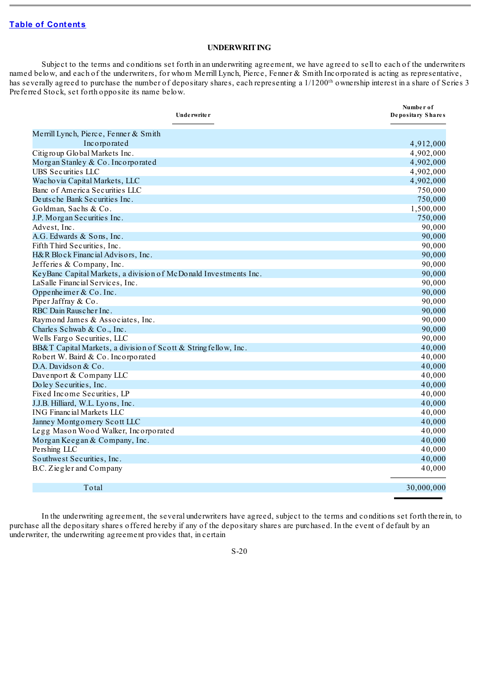### **UNDERWRITING**

<span id="page-20-0"></span>Subject to the terms and conditions set forth in an underwriting agreement, we have agreed to sell to each of the underwriters named below, and each of the underwriters, for whom Merrill Lynch, Pierce, Fenner & Smith Incorporated is acting as representative, has severally agreed to purchase the number of depositary shares, each representing a  $1/1200<sup>th</sup>$  ownership interest in a share of Series 3 Preferred Stock, set forth opposite its name below.

| Underwriter                                                      | Number of<br>Depositary Shares |
|------------------------------------------------------------------|--------------------------------|
| Merrill Lynch, Pierce, Fenner & Smith                            |                                |
| Incorporated                                                     | 4,912,000                      |
| Citigroup Global Markets Inc.                                    | 4,902,000                      |
| Morgan Stanley & Co. Incorporated                                | 4,902,000                      |
| UBS Securities LLC                                               | 4,902,000                      |
| Wacho via Capital Markets, LLC                                   | 4,902,000                      |
| Banc of America Securities LLC                                   | 750,000                        |
| Deutsche Bank Securities Inc.                                    | 750,000                        |
| Goldman, Sachs & Co.                                             | 1,500,000                      |
| J.P. Morgan Securities Inc.                                      | 750,000                        |
| Advest, Inc.                                                     | 90,000                         |
| A.G. Edwards & Sons, Inc.                                        | 90,000                         |
| Fifth Third Securities, Inc.                                     | 90,000                         |
| H&R Block Financial Advisors, Inc.                               | 90,000                         |
| Jefferies & Company, Inc.                                        | 90,000                         |
| KeyBanc Capital Markets, a division of McDonald Investments Inc. | 90,000                         |
| LaSalle Financial Services, Inc.                                 | 90,000                         |
| Oppenheimer & Co. Inc.                                           | 90,000                         |
| Piper Jaffray & Co.                                              | 90,000                         |
| RBC Dain Rauscher Inc.                                           | 90,000                         |
| Raymond James & Associates, Inc.                                 | 90,000                         |
| Charles Schwab & Co., Inc.                                       | 90,000                         |
| Wells Fargo Securities, LLC                                      | 90,000                         |
| BB&T Capital Markets, a division of Scott & String fellow, Inc.  | 40,000                         |
| Robert W. Baird & Co. Incorporated                               | 40,000                         |
| D.A. Davidson & Co.                                              | 40,000                         |
| Davenport & Company LLC                                          | 40,000                         |
| Do ley Securities, Inc.                                          | 40,000                         |
| Fixed Income Securities, LP                                      | 40,000                         |
| J.J.B. Hilliard, W.L. Lyons, Inc.                                | 40,000                         |
| <b>ING Financial Markets LLC</b>                                 | 40,000                         |
| Janney Montgomery Scott LLC                                      | 40,000                         |
| Legg Mason Wood Walker, Incorporated                             | 40,000                         |
| Morgan Keegan & Company, Inc.                                    | 40,000                         |
| Pershing LLC                                                     | 40,000                         |
| Southwest Securities, Inc.                                       | 40,000                         |
| B.C. Ziegler and Company                                         | 40,000                         |
| Total                                                            | 30,000,000                     |

In the underwriting agreement, the several underwriters have agreed, subject to the terms and conditions set forth therein, to purchase all the depositary shares offered hereby if any of the depositary shares are purchased. In the event of default by an underwriter, the underwriting agreement provides that, in certain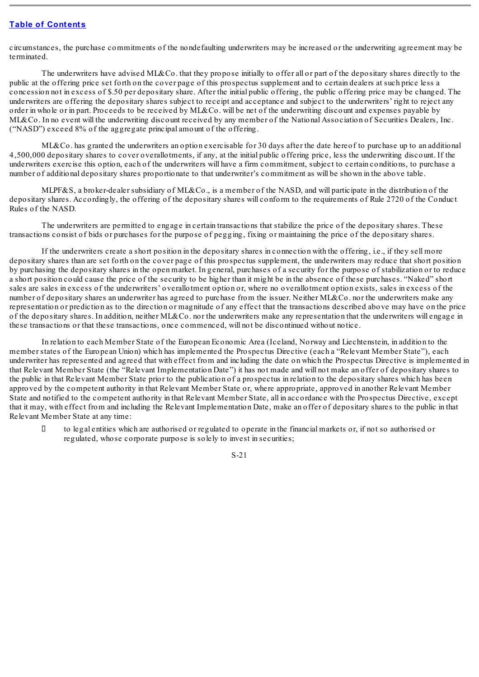circumstances, the purchase commitments of the nondefaulting underwriters may be increased or the underwriting agreement may be terminated.

The underwriters have advised ML&Co. that they propose initially to offer all or part of the depositary shares directly to the public at the offering price set forth on the cover page of this prospectus supplement and to certain dealers at such price less a concession not in excess of \$.50 per depositary share. After the initial public offering, the public offering price may be changed. The underwriters are offering the depositary shares subject to receipt and acceptance and subject to the underwriters' right to reject any order in whole or in part. Proceeds to be received by ML&Co. will be net of the underwriting discount and expenses payable by ML&Co. In no event will the underwriting discount received by any member of the National Association of Securities Dealers, Inc. ("NASD") exceed 8% of the aggregate principal amount of the offering.

ML&Co. has granted the underwriters an option exercisable for 30 days after the date hereof to purchase up to an additional 4,500,000 depositary shares to cover overallotments, if any, at the initial public offering price, less the underwriting discount. If the underwriters exercise this option, each of the underwriters will have a firm commitment, subject to certain conditions, to purchase a number of additional depositary shares proportionate to that underwriter's commitment as will be shown in the above table.

MLPF&S, a broker-dealer subsidiary of ML&Co., is a member of the NASD, and will participate in the distribution of the depositary shares. Accordingly, the offering of the depositary shares will conform to the requirements of Rule 2720 of the Conduct Rules of the NASD.

The underwriters are permitted to engage in certain transactions that stabilize the price of the depositary shares. These transactions consist of bids or purchases for the purpose of pegging, fixing or maintaining the price of the depositary shares.

If the underwriters create a short position in the depositary shares in connection with the offering, i.e., if they sell more depositary shares than are set forth on the cover page of this prospectus supplement, the underwriters may reduce that short position by purchasing the depositary shares in the open market. In general, purchases of a security for the purpose of stabilization or to reduce a short position could cause the price of the security to be higher than it might be in the absence of these purchases. "Naked" short sales are sales in excess of the underwriters' overallotment option or, where no overallotment option exists, sales in excess of the number of depositary shares an underwriter has agreed to purchase from the issuer. Neither ML&Co. nor the underwriters make any representation or prediction as to the direction or magnitude of any effect that the transactions described above may have on the price of the depositary shares. In addition, neither ML&Co. nor the underwriters make any representation that the underwriters will engage in these transactions or that these transactions, once commenced, will not be discontinued without notice.

In relation to each Member State of the European Economic Area (Iceland, Norway and Liechtenstein, in addition to the member states of the European Union) which has implemented the Prospectus Directive (each a "Relevant Member State"), each underwriter has represented and agreed that with effect from and including the date on which the Prospectus Directive is implemented in that Relevant Member State (the "Relevant Implementation Date") it has not made and will not make an offer of depositary shares to the public in that Relevant Member State prior to the publication of a prospectus in relation to the depositary shares which has been approved by the competent authority in that Relevant Member State or, where appropriate, approved in another Relevant Member State and notified to the competent authority in that Relevant Member State, all in accordance with the Prospectus Directive, except that it may, with effect from and including the Relevant Implementation Date, make an offer of depositary shares to the public in that Relevant Member State at any time:

 $\Box$  to legal entities which are authorised or regulated to operate in the financial markets or, if not so authorised or regulated, whose corporate purpose is solely to invest in securities;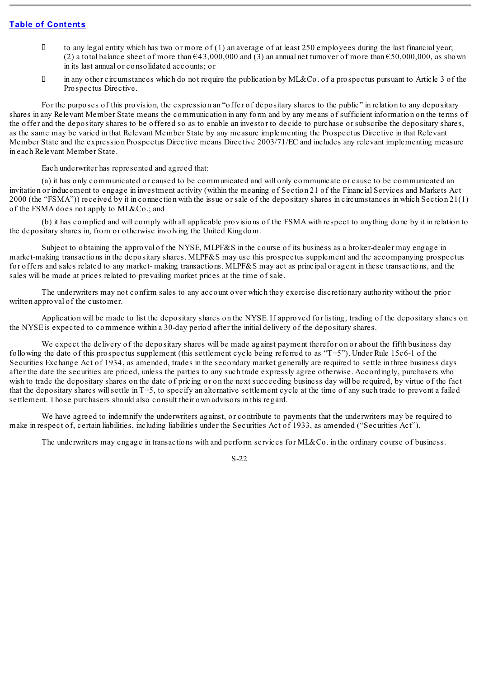- I to any legal entity which has two or more of (1) an average of at least 250 employees during the last financial year; (2) a total balance sheet of more than  $643,000,000$  and (3) an annual net turnover of more than  $650,000,000$ , as shown in its last annual or consolidated accounts; or
- $\Box$  in any other circumstances which do not require the publication by ML&Co. of a prospectus pursuant to Article 3 of the Prospectus Directive.

For the purposes of this provision, the expression an "offer of depositary shares to the public" in relation to any depositary shares in any Relevant Member State means the communication in any form and by any means of sufficient information on the terms of the offer and the depositary shares to be offered so as to enable an investor to decide to purchase or subscribe the depositary shares, as the same may be varied in that Relevant Member State by any measure implementing the Prospectus Directive in that Relevant Member State and the expression Prospectus Directive means Directive 2003/71/EC and includes any relevant implementing measure in each Relevant Member State.

Each underwriter has represented and agreed that:

(a) it has only communicated or caused to be communicated and will only communicate or cause to be communicated an invitation or inducement to engage in investment activity (within the meaning of Section 21 of the Financial Services and Markets Act 2000 (the "FSMA")) received by it in connection with the issue or sale of the depositary shares in circumstances in which Section 21(1) of the FSMA does not apply to ML&Co.; and

(b) it has complied and will comply with all applicable provisions of the FSMA with respect to anything done by it in relation to the depositary shares in, from or otherwise involving the United Kingdom.

Subject to obtaining the approval of the NYSE, MLPF&S in the course of its business as a broker-dealer may engage in market-making transactions in the depositary shares. MLPF&S may use this prospectus supplement and the accompanying prospectus for offers and sales related to any market- making transactions. MLPF&S may act as principal or agent in these transactions, and the sales will be made at prices related to prevailing market prices at the time of sale.

The underwriters may not confirm sales to any account over which they exercise discretionary authority without the prior written approval of the customer.

Application will be made to list the depositary shares on the NYSE. If approved for listing, trading of the depositary shares on the NYSE is expected to commence within a 30-day period after the initial delivery of the depositary shares.

We expect the delivery of the depositary shares will be made against payment therefor on or about the fifth business day following the date of this prospectus supplement (this settlement cycle being referred to as "T+5"). Under Rule 15c6-1 of the Securities Exchange Act of 1934, as amended, trades in the secondary market generally are required to settle in three business days after the date the securities are priced, unless the parties to any such trade expressly agree otherwise. Accordingly, purchasers who wish to trade the depositary shares on the date of pricing or on the next succeeding business day will be required, by virtue of the fact that the depositary shares willsettle in T+5, to specify an alternative settlement cycle at the time of any such trade to prevent a failed settlement. Those purchasers should also consult their own advisors in this regard.

We have agreed to indemnify the underwriters against, or contribute to payments that the underwriters may be required to make in respect of, certain liabilities, including liabilities under the Securities Act of 1933, as amended ("Securities Act").

The underwriters may engage in transactions with and perform services for ML&Co. in the ordinary course of business.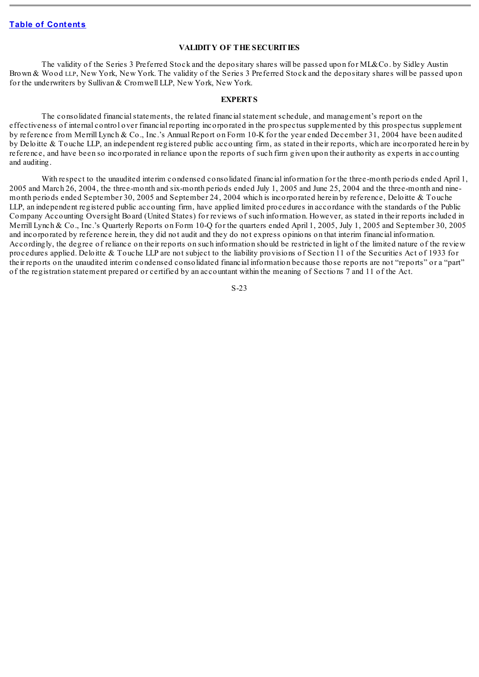#### **VALIDITY OF THE SECURITIES**

<span id="page-23-0"></span>The validity of the Series 3 Preferred Stock and the depositary shares will be passed upon for ML&Co. by Sidley Austin Brown & Wood LLP, New York, New York. The validity of the Series 3 Preferred Stock and the depositary shares will be passed upon for the underwriters by Sullivan & Cromwell LLP, New York, New York.

#### **EXPERTS**

<span id="page-23-1"></span>The consolidated financial statements, the related financial statement schedule, and management's report on the effectiveness of internal control over financial reporting incorporated in the prospectus supplemented by this prospectus supplement by reference from Merrill Lynch & Co., Inc.'s Annual Report on Form 10-K for the year ended December 31, 2004 have been audited by Deloitte & Touche LLP, an independent registered public accounting firm, as stated in their reports, which are incorporated herein by reference, and have been so incorporated in reliance upon the reports of such firm given upon their authority as experts in accounting and auditing.

With respect to the unaudited interim condensed consolidated financial information for the three-month periods ended April 1, 2005 and March 26, 2004, the three-month and six-month periods ended July 1, 2005 and June 25, 2004 and the three-month and ninemonth periods ended September 30, 2005 and September 24, 2004 which is incorporated herein by reference, Deloitte & Touche LLP, an independent registered public accounting firm, have applied limited procedures in accordance with the standards of the Public Company Accounting Oversight Board (United States) for reviews of such information. However, as stated in their reports included in Merrill Lynch & Co., Inc.'s Quarterly Reports on Form 10-Q for the quarters ended April 1, 2005, July 1, 2005 and September 30, 2005 and incorporated by reference herein, they did not audit and they do not express opinions on that interim financial information. Accordingly, the degree of reliance on their reports on such information should be restricted in light of the limited nature of the review procedures applied. Deloitte & Touche LLP are not subject to the liability provisions of Section 11 of the Securities Act of 1933 for their reports on the unaudited interim condensed consolidated financial information because those reports are not "reports" or a "part" of the registration statement prepared or certified by an accountant within the meaning of Sections 7 and 11 of the Act.